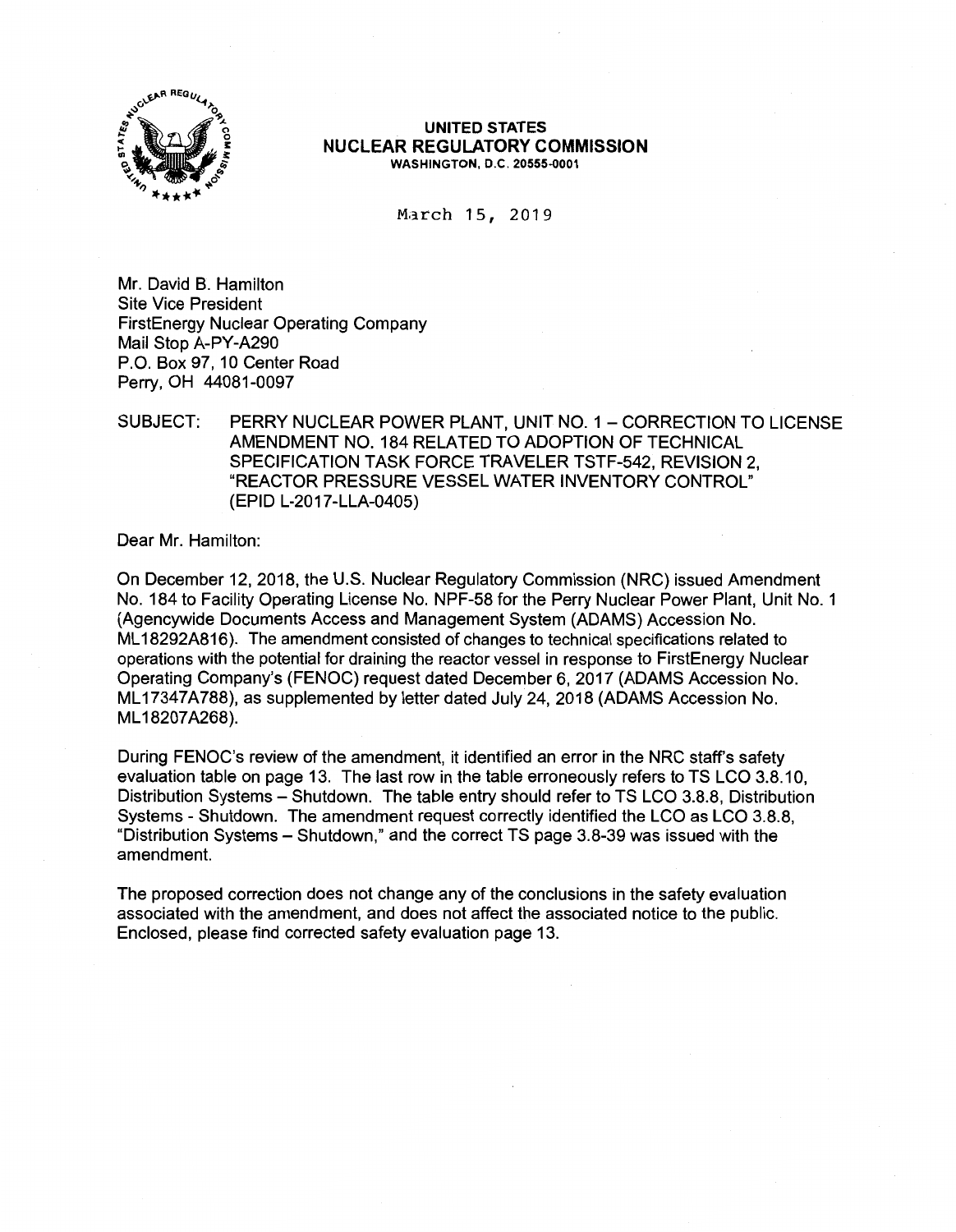

#### **UNITED STATES NUCLEAR REGULATORY COMMISSION WASHINGTON, O.C. 20555-0001**

March 15, 2019

Mr. David B. Hamilton Site Vice President FirstEnergy Nuclear Operating Company Mail Stop A-PY-A290 P.O. Box 97, 10 Center Road Perry, OH 44081-0097

#### SUBJECT: PERRY NUCLEAR POWER PLANT, UNIT NO. 1 – CORRECTION TO LICENSE AMENDMENT NO. 184 RELATED TO ADOPTION OF TECHNICAL SPECIFICATION TASK FORCE TRAVELER TSTF-542, REVISION 2, "REACTOR PRESSURE VESSEL WATER INVENTORY CONTROL" (EPID L-2017-LLA-0405)

Dear Mr. Hamilton:

On December 12, 2018, the U.S. Nuclear Regulatory Commission (NRC) issued Amendment No. 184 to Facility Operating License No. NPF-58 for the Perry Nuclear Power Plant, Unit No. 1 (Agencywide Documents Access and Management System (ADAMS) Accession No. ML 18292A816). The amendment consisted of changes to technical specifications related to operations with the potential for draining the reactor vessel in response to FirstEnergy Nuclear Operating Company's (FENOC) request dated December 6, 2017 (ADAMS Accession No. ML 17347A788), as supplemented by letter dated July 24, 2018 (ADAMS Accession No. ML18207A268).

During FENOC's review of the amendment, it identified an error in the NRC staff's safety evaluation table on page 13. The last row in the table erroneously refers to TS LCO 3.8.10, Distribution Systems - Shutdown. The table entry should refer to TS LCO 3.8.8, Distribution Systems - Shutdown. The amendment request correctly identified the LCO as LCO 3.8.8, "Distribution Systems - Shutdown," and the correct TS page 3.8-39 was issued with the amendment.

The proposed correction does not change any of the conclusions in the safety evaluation associated with the amendment, and does not affect the associated notice to the public. Enclosed, please find corrected safety evaluation page 13.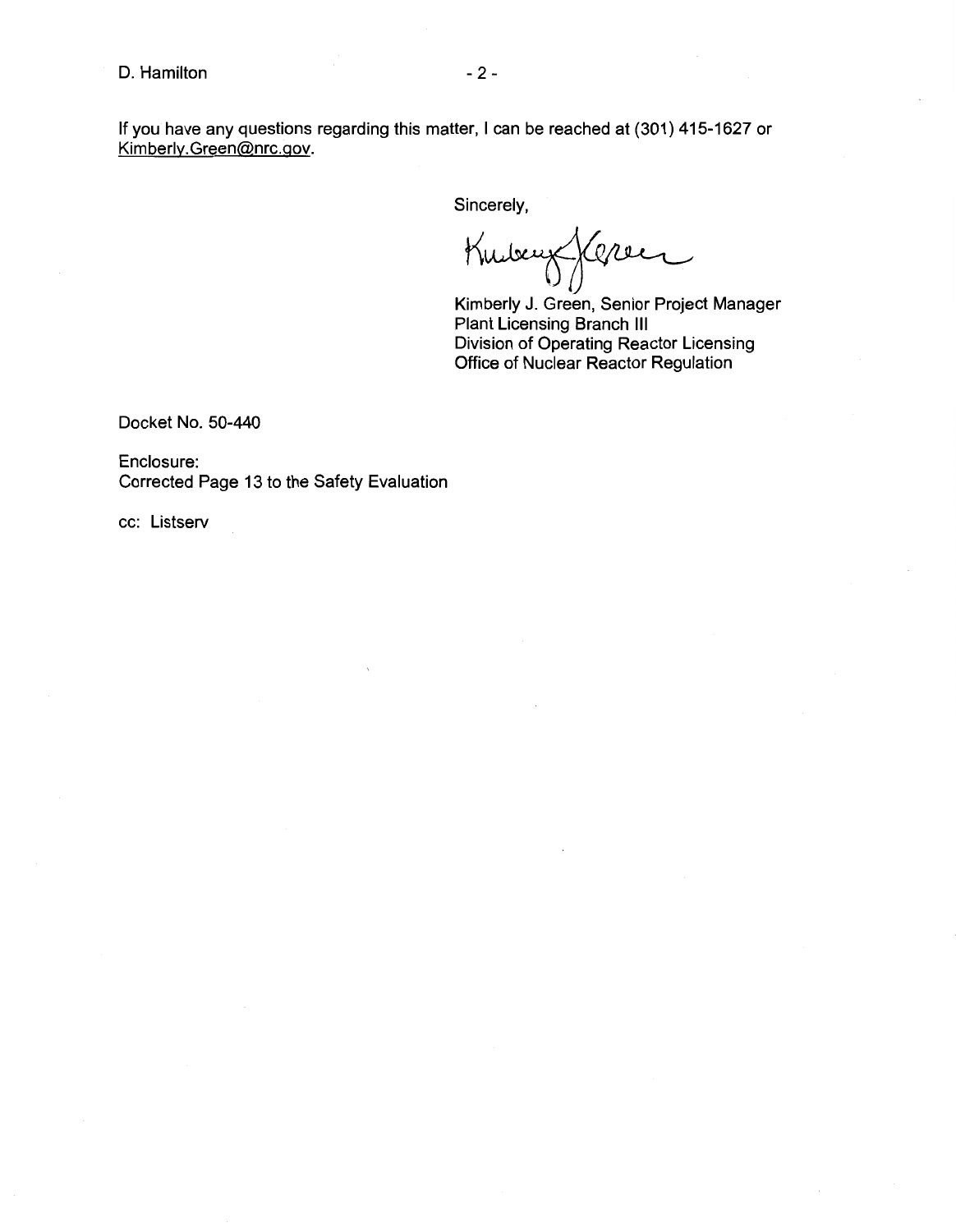If you have any questions regarding this matter, I can be reached at (301) 415-1627 or Kimberly.Green@nrc.gov.

Sincerely,

Knowy Keren

Kimberly J. Green, Senior Project Manager Plant Licensing Branch Ill Division of Operating Reactor Licensing Office of Nuclear Reactor Regulation

Docket No. 50-440

Enclosure: Corrected Page 13 to the Safety Evaluation

cc: Listserv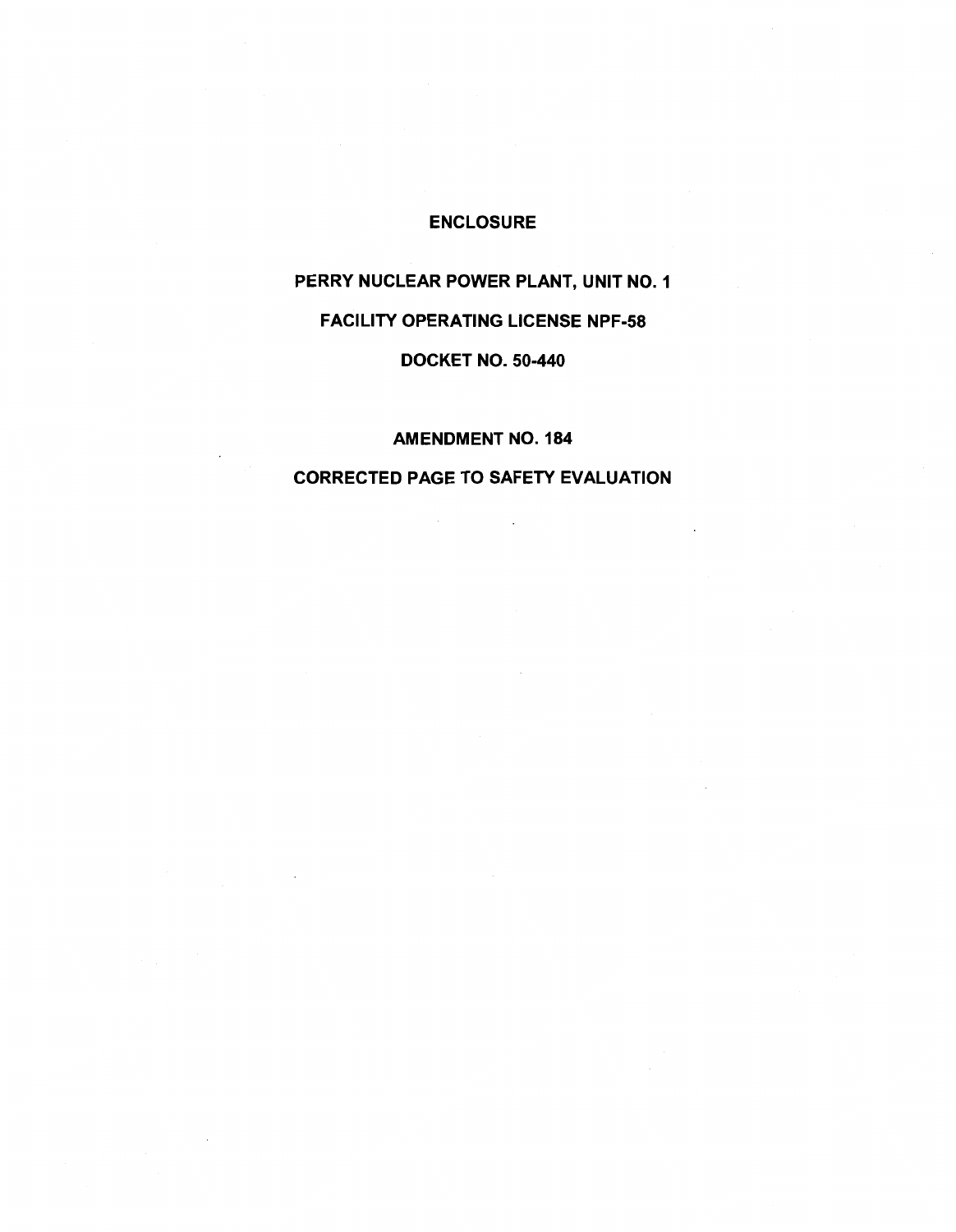## ENCLOSURE

# PERRY NUCLEAR POWER PLANT, UNIT NO. 1 FACILITY OPERATING LICENSE NPF-58

# DOCKET NO. 50-440

## AMENDMENT NO. 184

# CORRECTED PAGE TO SAFETY EVALUATION

 $\overline{\phantom{a}}$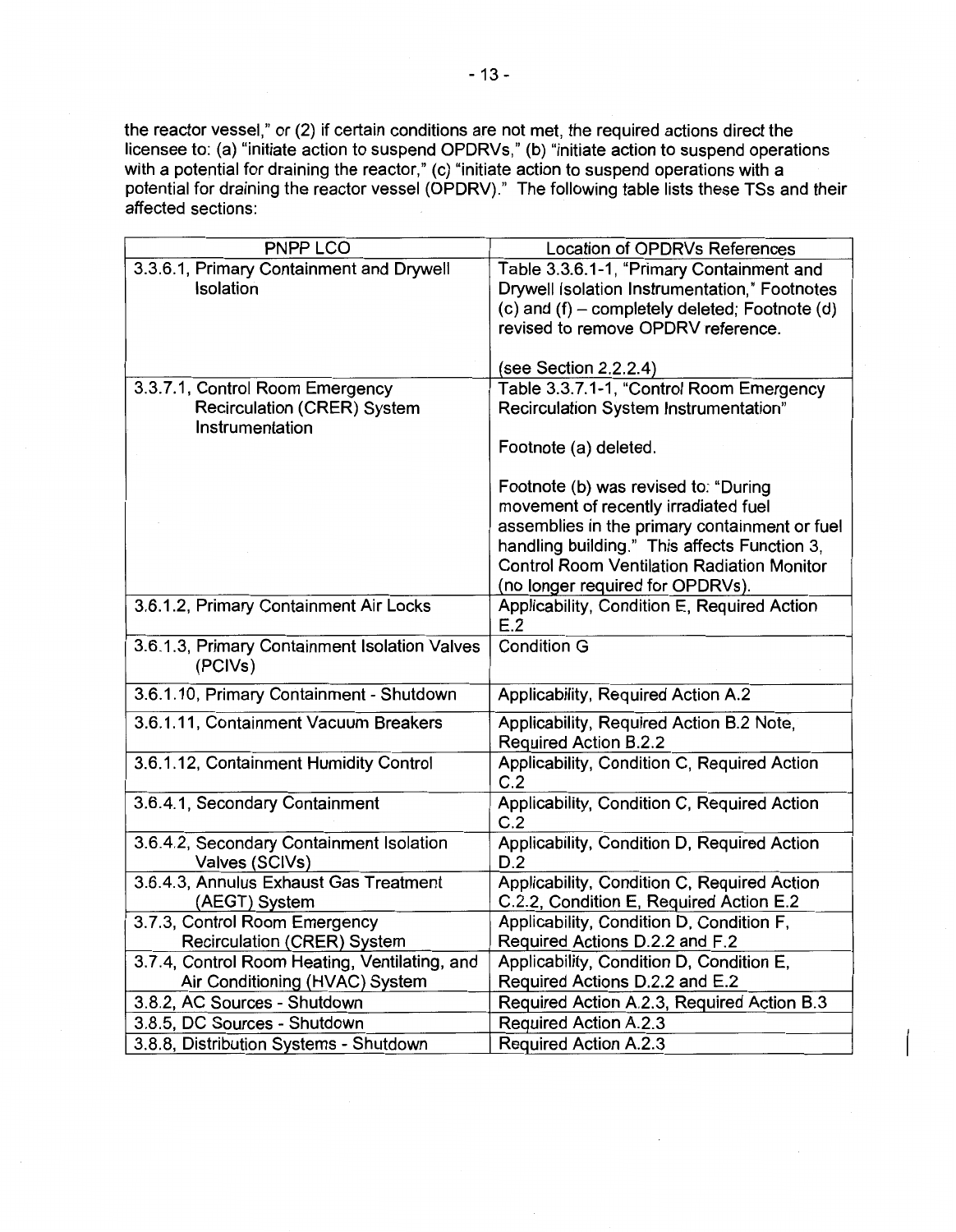the reactor vessel," or (2) if certain conditions are not met, the required actions direct the licensee to: (a) "initiate action to suspend OPDRVs," (b) "initiate action to suspend operations with a potential for draining the reactor," (c) "initiate action to suspend operations with a potential for draining the reactor vessel (OPDRV)." The following table lists these TSs and their affected sections:

| <b>PNPP LCO</b>                                                     | <b>Location of OPDRVs References</b>                                       |  |  |
|---------------------------------------------------------------------|----------------------------------------------------------------------------|--|--|
| 3.3.6.1, Primary Containment and Drywell                            | Table 3.3.6.1-1, "Primary Containment and                                  |  |  |
| Isolation                                                           | Drywell Isolation Instrumentation," Footnotes                              |  |  |
|                                                                     | $(c)$ and $(f)$ – completely deleted; Footnote $(d)$                       |  |  |
|                                                                     | revised to remove OPDRV reference.                                         |  |  |
|                                                                     |                                                                            |  |  |
|                                                                     | (see Section 2.2.2.4)                                                      |  |  |
| 3.3.7.1, Control Room Emergency                                     | Table 3.3.7.1-1, "Control Room Emergency                                   |  |  |
| <b>Recirculation (CRER) System</b>                                  | Recirculation System Instrumentation"                                      |  |  |
| Instrumentation                                                     |                                                                            |  |  |
|                                                                     | Footnote (a) deleted.                                                      |  |  |
|                                                                     |                                                                            |  |  |
|                                                                     | Footnote (b) was revised to: "During                                       |  |  |
|                                                                     | movement of recently irradiated fuel                                       |  |  |
|                                                                     | assemblies in the primary containment or fuel                              |  |  |
|                                                                     | handling building." This affects Function 3,                               |  |  |
|                                                                     | <b>Control Room Ventilation Radiation Monitor</b>                          |  |  |
|                                                                     | (no longer required for OPDRVs).                                           |  |  |
| 3.6.1.2, Primary Containment Air Locks                              | Applicability, Condition E, Required Action                                |  |  |
|                                                                     | E.2                                                                        |  |  |
| 3.6.1.3, Primary Containment Isolation Valves                       | <b>Condition G</b>                                                         |  |  |
| (PCIVs)                                                             |                                                                            |  |  |
| 3.6.1.10, Primary Containment - Shutdown                            | Applicability, Required Action A.2                                         |  |  |
| 3.6.1.11, Containment Vacuum Breakers                               | Applicability, Required Action B.2 Note,                                   |  |  |
|                                                                     | Required Action B.2.2                                                      |  |  |
| 3.6.1.12, Containment Humidity Control                              | Applicability, Condition C, Required Action                                |  |  |
|                                                                     | C.2                                                                        |  |  |
| 3.6.4.1, Secondary Containment                                      | Applicability, Condition C, Required Action                                |  |  |
|                                                                     | C.2                                                                        |  |  |
| 3.6.4.2, Secondary Containment Isolation                            | Applicability, Condition D, Required Action                                |  |  |
| Valves (SCIVs)                                                      | D.2                                                                        |  |  |
| 3.6.4.3, Annulus Exhaust Gas Treatment                              | Applicability, Condition C, Required Action                                |  |  |
| (AEGT) System                                                       | C.2.2, Condition E, Required Action E.2                                    |  |  |
| 3.7.3, Control Room Emergency<br><b>Recirculation (CRER) System</b> | Applicability, Condition D, Condition F,<br>Required Actions D.2.2 and F.2 |  |  |
| 3.7.4, Control Room Heating, Ventilating, and                       | Applicability, Condition D, Condition E,                                   |  |  |
| Air Conditioning (HVAC) System                                      | Required Actions D.2.2 and E.2                                             |  |  |
| 3.8.2, AC Sources - Shutdown                                        | Required Action A.2.3, Required Action B.3                                 |  |  |
| 3.8.5, DC Sources - Shutdown                                        | Required Action A.2.3                                                      |  |  |
|                                                                     |                                                                            |  |  |
| 3.8.8, Distribution Systems - Shutdown                              | Required Action A.2.3                                                      |  |  |